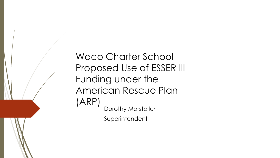Waco Charter School Proposed Use of ESSER III Funding under the American Rescue Plan (ARP) Dorothy Marstaller Superintendent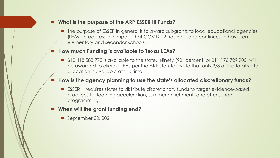#### **What is the purpose of the ARP ESSER III Funds?**

 $\blacksquare$  The purpose of ESSER in general is to award subgrants to local educational agencies (LEAs) to address the impact that COVID-19 has had, and continues to have, on elementary and secondar schools.

#### **How much Funding is available to Texas LEAs?**

■ \$12,418,588,778 is available to the state. Ninety (90) percent, or \$11,176,729,900, will be awarded to eligible LEAs per the ARP statute. Note that only 2/3 of the total state allocation is available at this time.

#### **How is the agency planning to use the state's allocated discretionary funds?**

- ESSER III requires states to distribute discretionary funds to target evidence-based practices for learning acceleration, summer enrichment, and after school programming.
- **When will the grant funding end?**
	- September 30, 2024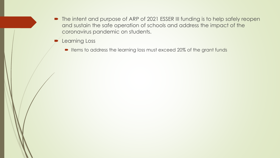- The intent and purpose of ARP of 2021 ESSER III funding is to help safely reopen and sustain the safe operation of schools and address the impact of the coronavirus pandemic on students.
- **P** Learning Loss
	- Items to address the learning loss must exceed 20% of the grant funds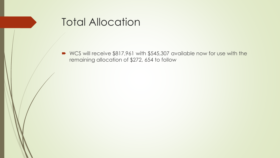

 WCS will receive \$817,961 with \$545,307 available now for use with the remaining allocation of \$272, 654 to follow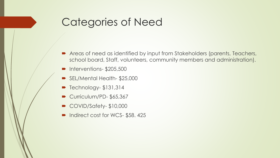## Categories of Need

- Areas of need as identified by input from Stakeholders (parents, Teachers, school board, Staff, volunteers, community members and administration).
- $\blacksquare$  Interventions- \$205,500
- SEL/Mental Health-\$25,000
- $\blacktriangleright$  Technology-  $$131,314$
- Curriculum/PD-\$65,367
- COVID/Safety-\$10,000
- Indirect cost for WCS-\$58.425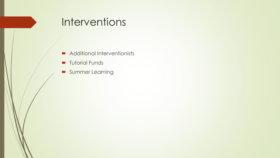## **Interventions**

- Additional Interventionists
- **Tutorial Funds**
- **Summer Learning**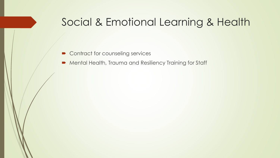### Social & Emotional Learning & Health

- Contract for counseling services
- Mental Health, Trauma and Resiliency Training for Staff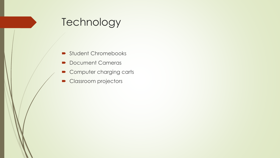## **Technology**

- Student Chromebooks
- Document Cameras
- Computer charging carts
- Classroom projectors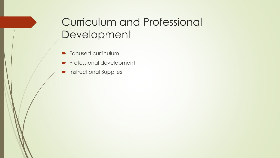# Curriculum and Professional Development

- **Focused curriculum**
- **Professional development**
- **Instructional Supplies**